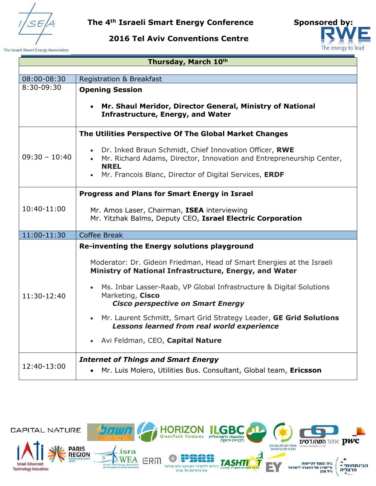The 4<sup>th</sup> Israeli Smart Energy Conference Sponsored by:

## **March 10th 2016 Tel Aviv Conventions Centre**



The Israeli Smart Energy Association

| Thursday, March 10th |                                                                                                                                               |  |
|----------------------|-----------------------------------------------------------------------------------------------------------------------------------------------|--|
|                      |                                                                                                                                               |  |
| 08:00-08:30          | <b>Registration &amp; Breakfast</b>                                                                                                           |  |
| 8:30-09:30           | <b>Opening Session</b>                                                                                                                        |  |
|                      | Mr. Shaul Meridor, Director General, Ministry of National<br><b>Infrastructure, Energy, and Water</b>                                         |  |
|                      | The Utilities Perspective Of The Global Market Changes                                                                                        |  |
| $09:30 - 10:40$      | Dr. Inked Braun Schmidt, Chief Innovation Officer, RWE<br>Mr. Richard Adams, Director, Innovation and Entrepreneurship Center,<br><b>NREL</b> |  |
|                      | Mr. Francois Blanc, Director of Digital Services, ERDF<br>$\bullet$                                                                           |  |
|                      | <b>Progress and Plans for Smart Energy in Israel</b>                                                                                          |  |
| 10:40-11:00          | Mr. Amos Laser, Chairman, ISEA interviewing<br>Mr. Yitzhak Balms, Deputy CEO, Israel Electric Corporation                                     |  |
| 11:00-11:30          | <b>Coffee Break</b>                                                                                                                           |  |
|                      | Re-inventing the Energy solutions playground                                                                                                  |  |
| 11:30-12:40          | Moderator: Dr. Gideon Friedman, Head of Smart Energies at the Israeli<br>Ministry of National Infrastructure, Energy, and Water               |  |
|                      | Ms. Inbar Lasser-Raab, VP Global Infrastructure & Digital Solutions<br>Marketing, Cisco<br><b>Cisco perspective on Smart Energy</b>           |  |
|                      | Mr. Laurent Schmitt, Smart Grid Strategy Leader, GE Grid Solutions<br>$\bullet$<br>Lessons learned from real world experience                 |  |
|                      | Avi Feldman, CEO, Capital Nature<br>$\bullet$                                                                                                 |  |
| 12:40-13:00          | <b>Internet of Things and Smart Energy</b>                                                                                                    |  |
|                      | Mr. Luis Molero, Utilities Bus. Consultant, Global team, Ericsson                                                                             |  |